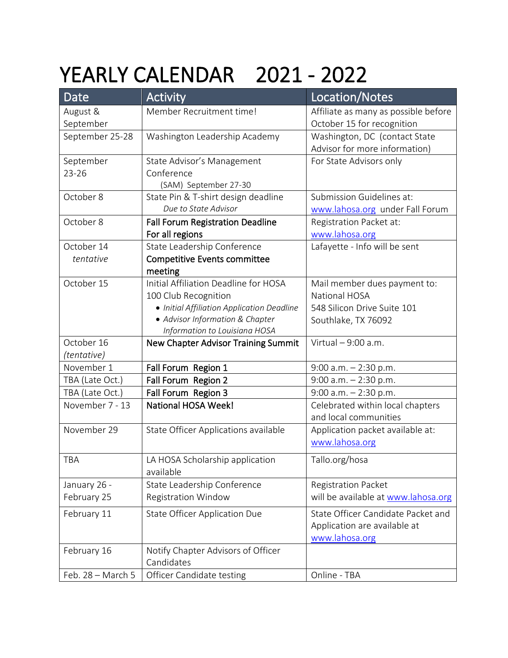## YEARLY CALENDAR 2021 - 2022

| Date              | <b>Activity</b>                            | Location/Notes                       |
|-------------------|--------------------------------------------|--------------------------------------|
| August &          | Member Recruitment time!                   | Affiliate as many as possible before |
| September         |                                            | October 15 for recognition           |
| September 25-28   | Washington Leadership Academy              | Washington, DC (contact State        |
|                   |                                            | Advisor for more information)        |
| September         | State Advisor's Management                 | For State Advisors only              |
| $23 - 26$         | Conference                                 |                                      |
|                   | (SAM) September 27-30                      |                                      |
| October 8         | State Pin & T-shirt design deadline        | Submission Guidelines at:            |
|                   | Due to State Advisor                       | www.lahosa.org under Fall Forum      |
| October 8         | Fall Forum Registration Deadline           | Registration Packet at:              |
|                   | For all regions                            | www.lahosa.org                       |
| October 14        | State Leadership Conference                | Lafayette - Info will be sent        |
| tentative         | <b>Competitive Events committee</b>        |                                      |
|                   | meeting                                    |                                      |
| October 15        | Initial Affiliation Deadline for HOSA      | Mail member dues payment to:         |
|                   | 100 Club Recognition                       | <b>National HOSA</b>                 |
|                   | • Initial Affiliation Application Deadline | 548 Silicon Drive Suite 101          |
|                   | • Advisor Information & Chapter            | Southlake, TX 76092                  |
|                   | Information to Louisiana HOSA              |                                      |
| October 16        | <b>New Chapter Advisor Training Summit</b> | Virtual - 9:00 a.m.                  |
| (tentative)       |                                            |                                      |
| November 1        | Fall Forum Region 1                        | $9:00$ a.m. $-2:30$ p.m.             |
| TBA (Late Oct.)   | Fall Forum Region 2                        | $9:00$ a.m. $-2:30$ p.m.             |
| TBA (Late Oct.)   | Fall Forum Region 3                        | $9:00$ a.m. $-2:30$ p.m.             |
| November 7 - 13   | <b>National HOSA Week!</b>                 | Celebrated within local chapters     |
|                   |                                            | and local communities                |
| November 29       | State Officer Applications available       | Application packet available at:     |
|                   |                                            | www.lahosa.org                       |
| TBA               | LA HOSA Scholarship application            | Tallo.org/hosa                       |
|                   | available                                  |                                      |
| January 26 -      | State Leadership Conference                | <b>Registration Packet</b>           |
| February 25       | <b>Registration Window</b>                 | will be available at www.lahosa.org  |
| February 11       | <b>State Officer Application Due</b>       | State Officer Candidate Packet and   |
|                   |                                            | Application are available at         |
|                   |                                            | www.lahosa.org                       |
| February 16       | Notify Chapter Advisors of Officer         |                                      |
|                   | Candidates                                 |                                      |
| Feb. 28 - March 5 | Officer Candidate testing                  | Online - TBA                         |